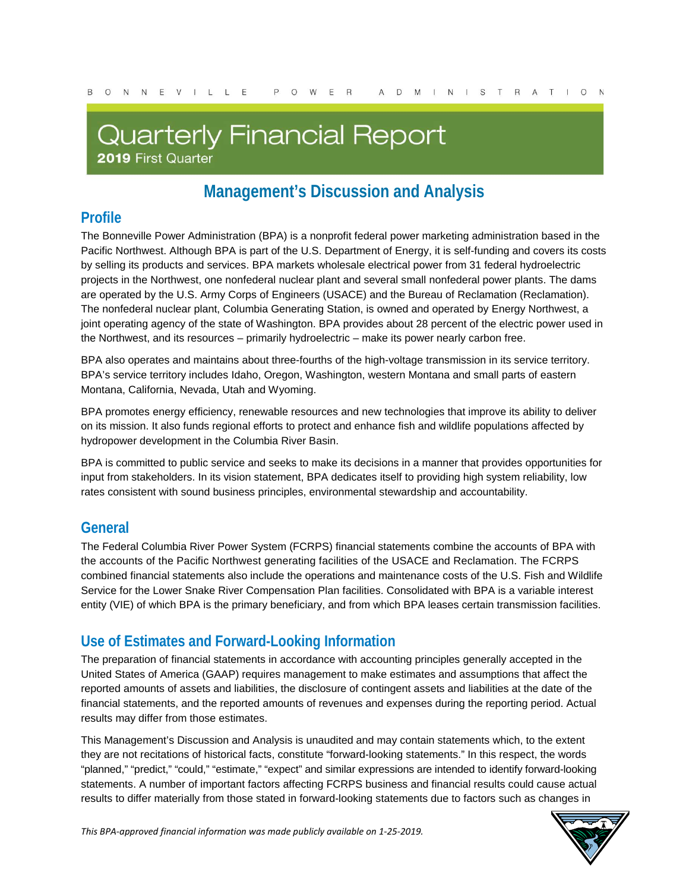# **Quarterly Financial Report**

2019 First Quarter

# **Management's Discussion and Analysis**

### **Profile**

The Bonneville Power Administration (BPA) is a nonprofit federal power marketing administration based in the Pacific Northwest. Although BPA is part of the U.S. Department of Energy, it is self-funding and covers its costs by selling its products and services. BPA markets wholesale electrical power from 31 federal hydroelectric projects in the Northwest, one nonfederal nuclear plant and several small nonfederal power plants. The dams are operated by the U.S. Army Corps of Engineers (USACE) and the Bureau of Reclamation (Reclamation). The nonfederal nuclear plant, Columbia Generating Station, is owned and operated by Energy Northwest, a joint operating agency of the state of Washington. BPA provides about 28 percent of the electric power used in the Northwest, and its resources – primarily hydroelectric – make its power nearly carbon free.

BPA also operates and maintains about three-fourths of the high-voltage transmission in its service territory. BPA's service territory includes Idaho, Oregon, Washington, western Montana and small parts of eastern Montana, California, Nevada, Utah and Wyoming.

BPA promotes energy efficiency, renewable resources and new technologies that improve its ability to deliver on its mission. It also funds regional efforts to protect and enhance fish and wildlife populations affected by hydropower development in the Columbia River Basin.

BPA is committed to public service and seeks to make its decisions in a manner that provides opportunities for input from stakeholders. In its vision statement, BPA dedicates itself to providing high system reliability, low rates consistent with sound business principles, environmental stewardship and accountability.

### **General**

The Federal Columbia River Power System (FCRPS) financial statements combine the accounts of BPA with the accounts of the Pacific Northwest generating facilities of the USACE and Reclamation. The FCRPS combined financial statements also include the operations and maintenance costs of the U.S. Fish and Wildlife Service for the Lower Snake River Compensation Plan facilities. Consolidated with BPA is a variable interest entity (VIE) of which BPA is the primary beneficiary, and from which BPA leases certain transmission facilities.

### **Use of Estimates and Forward-Looking Information**

The preparation of financial statements in accordance with accounting principles generally accepted in the United States of America (GAAP) requires management to make estimates and assumptions that affect the reported amounts of assets and liabilities, the disclosure of contingent assets and liabilities at the date of the financial statements, and the reported amounts of revenues and expenses during the reporting period. Actual results may differ from those estimates.

This Management's Discussion and Analysis is unaudited and may contain statements which, to the extent they are not recitations of historical facts, constitute "forward-looking statements." In this respect, the words "planned," "predict," "could," "estimate," "expect" and similar expressions are intended to identify forward-looking statements. A number of important factors affecting FCRPS business and financial results could cause actual results to differ materially from those stated in forward-looking statements due to factors such as changes in

*This BPA-approved financial information was made publicly available on 1-25-2019.* 1

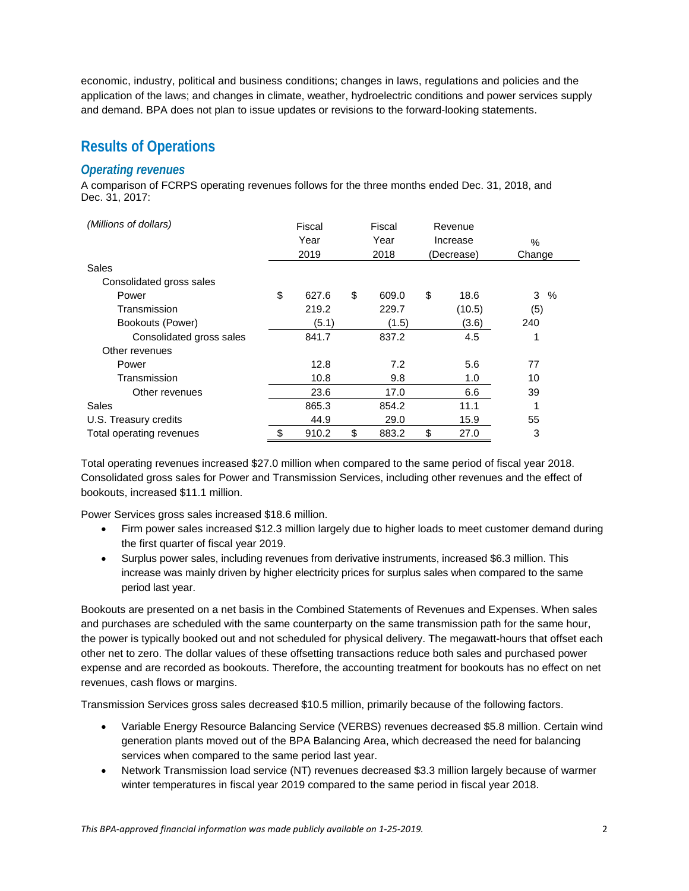economic, industry, political and business conditions; changes in laws, regulations and policies and the application of the laws; and changes in climate, weather, hydroelectric conditions and power services supply and demand. BPA does not plan to issue updates or revisions to the forward-looking statements.

### **Results of Operations**

#### *Operating revenues*

A comparison of FCRPS operating revenues follows for the three months ended Dec. 31, 2018, and Dec. 31, 2017:

| (Millions of dollars)    | Fiscal<br>Year<br>2019 |       | Fiscal<br>Year<br>2018 | Revenue<br>Increase<br>(Decrease) |        | $\%$<br>Change |  |
|--------------------------|------------------------|-------|------------------------|-----------------------------------|--------|----------------|--|
| Sales                    |                        |       |                        |                                   |        |                |  |
| Consolidated gross sales |                        |       |                        |                                   |        |                |  |
| Power                    | \$                     | 627.6 | \$<br>609.0            | \$                                | 18.6   | 3<br>%         |  |
| Transmission             |                        | 219.2 | 229.7                  |                                   | (10.5) | (5)            |  |
| Bookouts (Power)         |                        | (5.1) | (1.5)                  |                                   | (3.6)  | 240            |  |
| Consolidated gross sales |                        | 841.7 | 837.2                  |                                   | 4.5    |                |  |
| Other revenues           |                        |       |                        |                                   |        |                |  |
| Power                    |                        | 12.8  | 7.2                    |                                   | 5.6    | 77             |  |
| Transmission             |                        | 10.8  | 9.8                    |                                   | 1.0    | 10             |  |
| Other revenues           |                        | 23.6  | 17.0                   |                                   | 6.6    | 39             |  |
| Sales                    |                        | 865.3 | 854.2                  |                                   | 11.1   |                |  |
| U.S. Treasury credits    |                        | 44.9  | 29.0                   |                                   | 15.9   | 55             |  |
| Total operating revenues |                        | 910.2 | \$<br>883.2            | \$                                | 27.0   | 3              |  |

Total operating revenues increased \$27.0 million when compared to the same period of fiscal year 2018. Consolidated gross sales for Power and Transmission Services, including other revenues and the effect of bookouts, increased \$11.1 million.

Power Services gross sales increased \$18.6 million.

- Firm power sales increased \$12.3 million largely due to higher loads to meet customer demand during the first quarter of fiscal year 2019.
- Surplus power sales, including revenues from derivative instruments, increased \$6.3 million. This increase was mainly driven by higher electricity prices for surplus sales when compared to the same period last year.

Bookouts are presented on a net basis in the Combined Statements of Revenues and Expenses. When sales and purchases are scheduled with the same counterparty on the same transmission path for the same hour, the power is typically booked out and not scheduled for physical delivery. The megawatt-hours that offset each other net to zero. The dollar values of these offsetting transactions reduce both sales and purchased power expense and are recorded as bookouts. Therefore, the accounting treatment for bookouts has no effect on net revenues, cash flows or margins.

Transmission Services gross sales decreased \$10.5 million, primarily because of the following factors.

- Variable Energy Resource Balancing Service (VERBS) revenues decreased \$5.8 million. Certain wind generation plants moved out of the BPA Balancing Area, which decreased the need for balancing services when compared to the same period last year.
- Network Transmission load service (NT) revenues decreased \$3.3 million largely because of warmer winter temperatures in fiscal year 2019 compared to the same period in fiscal year 2018.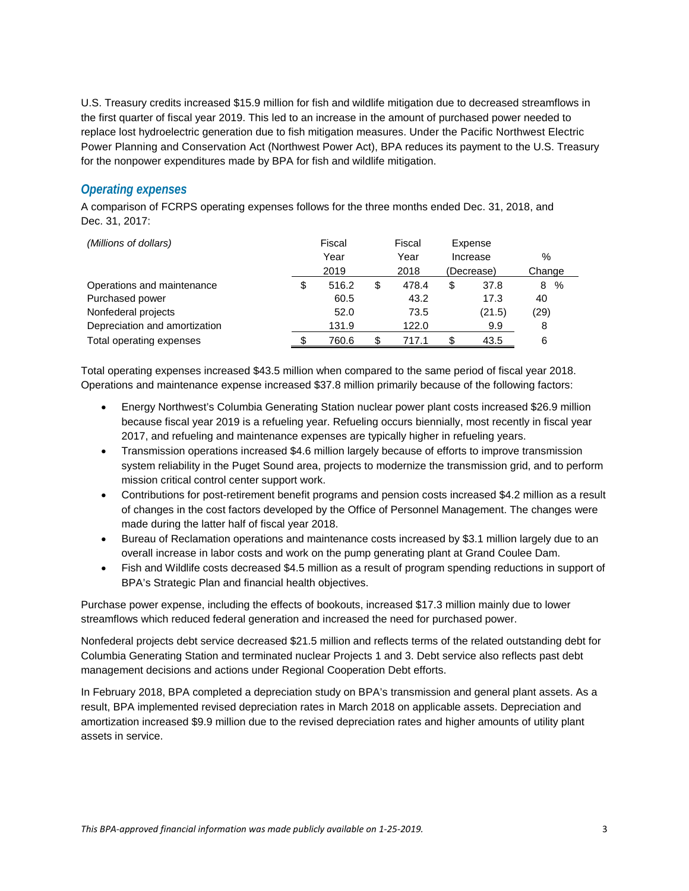U.S. Treasury credits increased \$15.9 million for fish and wildlife mitigation due to decreased streamflows in the first quarter of fiscal year 2019. This led to an increase in the amount of purchased power needed to replace lost hydroelectric generation due to fish mitigation measures. Under the Pacific Northwest Electric Power Planning and Conservation Act (Northwest Power Act), BPA reduces its payment to the U.S. Treasury for the nonpower expenditures made by BPA for fish and wildlife mitigation.

#### *Operating expenses*

A comparison of FCRPS operating expenses follows for the three months ended Dec. 31, 2018, and Dec. 31, 2017:

| (Millions of dollars)         | Fiscal |       |      | Fiscal             | Expense  |        |        |  |
|-------------------------------|--------|-------|------|--------------------|----------|--------|--------|--|
|                               | Year   |       | Year |                    | Increase |        | %      |  |
|                               | 2019   |       |      | 2018<br>(Decrease) |          |        | Change |  |
| Operations and maintenance    |        | 516.2 | \$   | 478.4              | \$       | 37.8   | %<br>8 |  |
| Purchased power               |        | 60.5  |      | 43.2               |          | 17.3   | 40     |  |
| Nonfederal projects           |        | 52.0  |      | 73.5               |          | (21.5) | (29)   |  |
| Depreciation and amortization |        | 131.9 |      | 122.0              |          | 9.9    | 8      |  |
| Total operating expenses      |        | 760.6 | \$   | 717.1              | \$       | 43.5   | 6      |  |

Total operating expenses increased \$43.5 million when compared to the same period of fiscal year 2018. Operations and maintenance expense increased \$37.8 million primarily because of the following factors:

- Energy Northwest's Columbia Generating Station nuclear power plant costs increased \$26.9 million because fiscal year 2019 is a refueling year. Refueling occurs biennially, most recently in fiscal year 2017, and refueling and maintenance expenses are typically higher in refueling years.
- Transmission operations increased \$4.6 million largely because of efforts to improve transmission system reliability in the Puget Sound area, projects to modernize the transmission grid, and to perform mission critical control center support work.
- Contributions for post-retirement benefit programs and pension costs increased \$4.2 million as a result of changes in the cost factors developed by the Office of Personnel Management. The changes were made during the latter half of fiscal year 2018.
- Bureau of Reclamation operations and maintenance costs increased by \$3.1 million largely due to an overall increase in labor costs and work on the pump generating plant at Grand Coulee Dam.
- Fish and Wildlife costs decreased \$4.5 million as a result of program spending reductions in support of BPA's Strategic Plan and financial health objectives.

Purchase power expense, including the effects of bookouts, increased \$17.3 million mainly due to lower streamflows which reduced federal generation and increased the need for purchased power.

Nonfederal projects debt service decreased \$21.5 million and reflects terms of the related outstanding debt for Columbia Generating Station and terminated nuclear Projects 1 and 3. Debt service also reflects past debt management decisions and actions under Regional Cooperation Debt efforts.

In February 2018, BPA completed a depreciation study on BPA's transmission and general plant assets. As a result, BPA implemented revised depreciation rates in March 2018 on applicable assets. Depreciation and amortization increased \$9.9 million due to the revised depreciation rates and higher amounts of utility plant assets in service.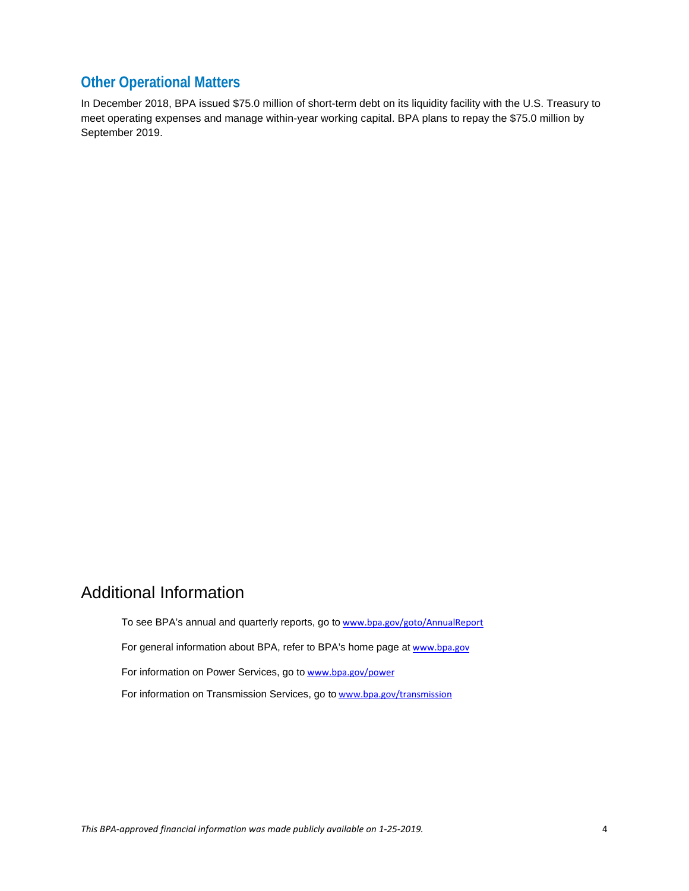### **Other Operational Matters**

In December 2018, BPA issued \$75.0 million of short-term debt on its liquidity facility with the U.S. Treasury to meet operating expenses and manage within-year working capital. BPA plans to repay the \$75.0 million by September 2019.

## Additional Information

To see BPA's annual and quarterly reports, go to [www.bpa.gov/goto/AnnualReport](http://www.bpa.gov/goto/AnnualReport) For general information about BPA, refer to BPA's home page at [www.bpa.gov](http://www.bpa.gov/) For information on Power Services, go to [www.bpa.gov/power](http://www.bpa.gov/power) For information on Transmission Services, go to [www.bpa.gov/transmission](http://www.bpa.gov/transmission)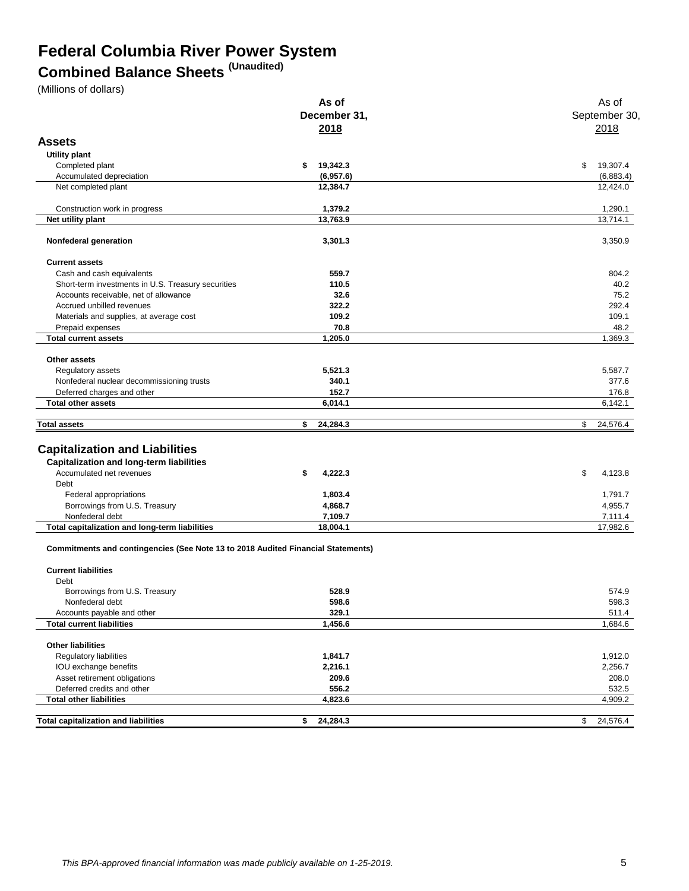# **Federal Columbia River Power System**

# **Combined Balance Sheets (Unaudited)**

(Millions of dollars)

|                                                                                         | As of          | As of                 |
|-----------------------------------------------------------------------------------------|----------------|-----------------------|
|                                                                                         | December 31,   | September 30,         |
|                                                                                         | 2018           | 2018                  |
| <b>Assets</b>                                                                           |                |                       |
|                                                                                         |                |                       |
| Utility plant                                                                           |                |                       |
| Completed plant                                                                         | \$<br>19,342.3 | \$<br>19,307.4        |
| Accumulated depreciation                                                                | (6,957.6)      | (6,883.4)<br>12,424.0 |
| Net completed plant                                                                     | 12,384.7       |                       |
| Construction work in progress                                                           | 1,379.2        | 1,290.1               |
| Net utility plant                                                                       | 13,763.9       | 13,714.1              |
|                                                                                         |                |                       |
| Nonfederal generation                                                                   | 3,301.3        | 3,350.9               |
| <b>Current assets</b>                                                                   |                |                       |
| Cash and cash equivalents                                                               | 559.7          | 804.2                 |
| Short-term investments in U.S. Treasury securities                                      | 110.5          | 40.2                  |
| Accounts receivable, net of allowance                                                   | 32.6           | 75.2                  |
| Accrued unbilled revenues                                                               | 322.2          | 292.4                 |
| Materials and supplies, at average cost                                                 | 109.2          | 109.1                 |
| Prepaid expenses                                                                        | 70.8           | 48.2                  |
| <b>Total current assets</b>                                                             | 1,205.0        | 1,369.3               |
|                                                                                         |                |                       |
| Other assets                                                                            |                |                       |
| Regulatory assets                                                                       | 5,521.3        | 5,587.7               |
| Nonfederal nuclear decommissioning trusts                                               | 340.1          | 377.6                 |
| Deferred charges and other                                                              | 152.7          | 176.8                 |
| <b>Total other assets</b>                                                               | 6,014.1        | 6,142.1               |
| <b>Total assets</b>                                                                     | 24,284.3<br>\$ | 24,576.4<br>\$        |
|                                                                                         |                |                       |
| <b>Capitalization and Liabilities</b>                                                   |                |                       |
| <b>Capitalization and long-term liabilities</b>                                         |                |                       |
|                                                                                         |                |                       |
| Accumulated net revenues                                                                | \$<br>4,222.3  | \$<br>4,123.8         |
| Debt                                                                                    |                |                       |
| Federal appropriations                                                                  | 1,803.4        | 1,791.7               |
| Borrowings from U.S. Treasury                                                           | 4,868.7        | 4,955.7               |
| Nonfederal debt                                                                         | 7,109.7        | 7,111.4               |
| Total capitalization and long-term liabilities                                          | 18,004.1       | 17,982.6              |
| <b>Commitments and contingencies (See Note 13 to 2018 Audited Financial Statements)</b> |                |                       |
| <b>Current liabilities</b>                                                              |                |                       |
| Debt                                                                                    |                |                       |
| Borrowings from U.S. Treasury                                                           | 528.9          | 574.9                 |
| Nonfederal debt                                                                         | 598.6          | 598.3                 |
| Accounts payable and other                                                              | 329.1          | 511.4                 |
| <b>Total current liabilities</b>                                                        | 1,456.6        | 1,684.6               |
|                                                                                         |                |                       |
| <b>Other liabilities</b>                                                                |                |                       |
| Regulatory liabilities                                                                  | 1,841.7        | 1,912.0               |
| IOU exchange benefits                                                                   | 2,216.1        | 2,256.7               |
| Asset retirement obligations                                                            | 209.6          | 208.0                 |
| Deferred credits and other                                                              | 556.2          | 532.5                 |
| <b>Total other liabilities</b>                                                          | 4,823.6        | 4,909.2               |
|                                                                                         |                |                       |
| <b>Total capitalization and liabilities</b>                                             | 24,284.3<br>\$ | 24,576.4<br>\$        |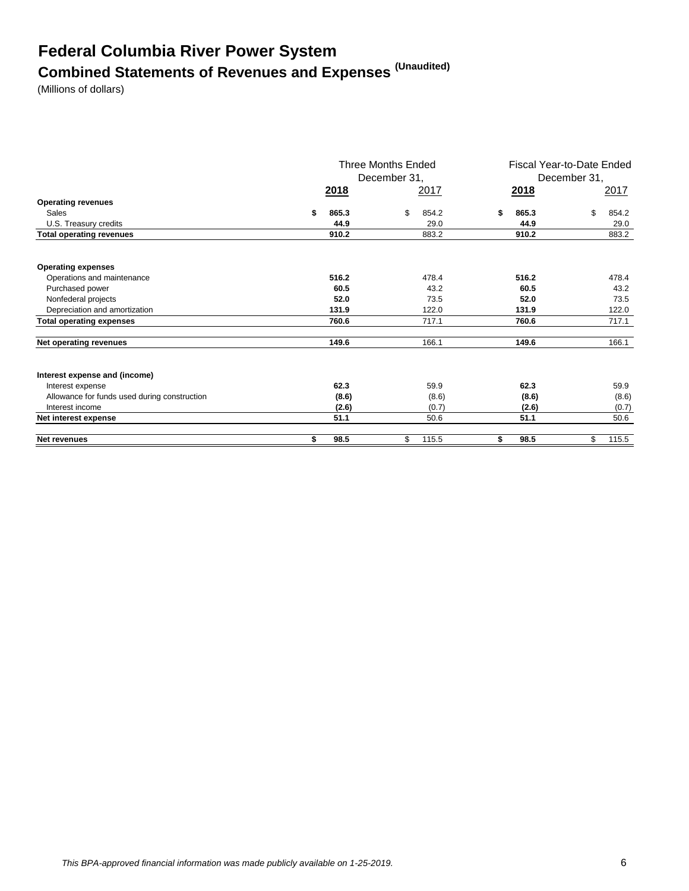# **Federal Columbia River Power System Combined Statements of Revenues and Expenses (Unaudited)**

(Millions of dollars)

|                                              | <b>Three Months Ended</b><br>December 31, |       |    | Fiscal Year-to-Date Ended<br>December 31, |    |             |    |       |
|----------------------------------------------|-------------------------------------------|-------|----|-------------------------------------------|----|-------------|----|-------|
|                                              |                                           | 2018  |    | 2017                                      |    | <u>2018</u> |    | 2017  |
| <b>Operating revenues</b>                    |                                           |       |    |                                           |    |             |    |       |
| Sales                                        | \$                                        | 865.3 | \$ | 854.2                                     |    | 865.3       | \$ | 854.2 |
| U.S. Treasury credits                        |                                           | 44.9  |    | 29.0                                      |    | 44.9        |    | 29.0  |
| <b>Total operating revenues</b>              |                                           | 910.2 |    | 883.2                                     |    | 910.2       |    | 883.2 |
| <b>Operating expenses</b>                    |                                           |       |    |                                           |    |             |    |       |
| Operations and maintenance                   |                                           | 516.2 |    | 478.4                                     |    | 516.2       |    | 478.4 |
| Purchased power                              |                                           | 60.5  |    | 43.2                                      |    | 60.5        |    | 43.2  |
| Nonfederal projects                          |                                           | 52.0  |    | 73.5                                      |    | 52.0        |    | 73.5  |
| Depreciation and amortization                |                                           | 131.9 |    | 122.0                                     |    | 131.9       |    | 122.0 |
| <b>Total operating expenses</b>              |                                           | 760.6 |    | 717.1                                     |    | 760.6       |    | 717.1 |
| Net operating revenues                       |                                           | 149.6 |    | 166.1                                     |    | 149.6       |    | 166.1 |
| Interest expense and (income)                |                                           |       |    |                                           |    |             |    |       |
| Interest expense                             |                                           | 62.3  |    | 59.9                                      |    | 62.3        |    | 59.9  |
| Allowance for funds used during construction |                                           | (8.6) |    | (8.6)                                     |    | (8.6)       |    | (8.6) |
| Interest income                              |                                           | (2.6) |    | (0.7)                                     |    | (2.6)       |    | (0.7) |
| Net interest expense                         |                                           | 51.1  |    | 50.6                                      |    | 51.1        |    | 50.6  |
| <b>Net revenues</b>                          | \$                                        | 98.5  | \$ | 115.5                                     | \$ | 98.5        | \$ | 115.5 |